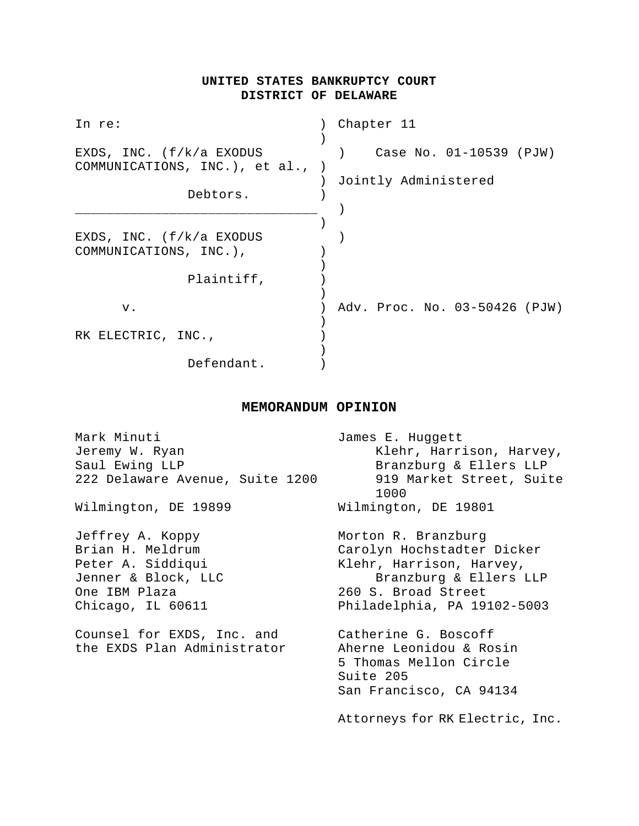# **UNITED STATES BANKRUPTCY COURT DISTRICT OF DELAWARE**

| In re:                                                        | Chapter 11                    |
|---------------------------------------------------------------|-------------------------------|
| EXDS, INC. $(f/k/a)$ EXODUS<br>COMMUNICATIONS, INC.), et al., | Case No. 01-10539 (PJW)       |
|                                                               | Jointly Administered          |
| Debtors.                                                      |                               |
|                                                               |                               |
| EXDS, INC. (f/k/a EXODUS                                      |                               |
| COMMUNICATIONS, INC.),                                        |                               |
| Plaintiff,                                                    |                               |
|                                                               |                               |
| v.                                                            | Adv. Proc. No. 03-50426 (PJW) |
|                                                               |                               |
| RK ELECTRIC, INC.,                                            |                               |
|                                                               |                               |
| Defendant.                                                    |                               |

## **MEMORANDUM OPINION**

| Mark Minuti                                                                                                            | James E. Huggett                                                                                                                                              |
|------------------------------------------------------------------------------------------------------------------------|---------------------------------------------------------------------------------------------------------------------------------------------------------------|
| Jeremy W. Ryan                                                                                                         | Klehr, Harrison, Harvey,                                                                                                                                      |
| Saul Ewing LLP                                                                                                         | Branzburg & Ellers LLP                                                                                                                                        |
| 222 Delaware Avenue, Suite 1200                                                                                        | 919 Market Street, Suite<br>1000                                                                                                                              |
| Wilmington, DE 19899                                                                                                   | Wilmington, DE 19801                                                                                                                                          |
| Jeffrey A. Koppy<br>Brian H. Meldrum<br>Peter A. Siddiqui<br>Jenner & Block, LLC<br>One IBM Plaza<br>Chicago, IL 60611 | Morton R. Branzburg<br>Carolyn Hochstadter Dicker<br>Klehr, Harrison, Harvey,<br>Branzburg & Ellers LLP<br>260 S. Broad Street<br>Philadelphia, PA 19102-5003 |
| Counsel for EXDS, Inc. and<br>the EXDS Plan Administrator                                                              | Catherine G. Boscoff<br>Aherne Leonidou & Rosin<br>5 Thomas Mellon Circle<br>Suite 205<br>San Francisco, CA 94134                                             |
|                                                                                                                        | Attorneys for RK Electric, Inc.                                                                                                                               |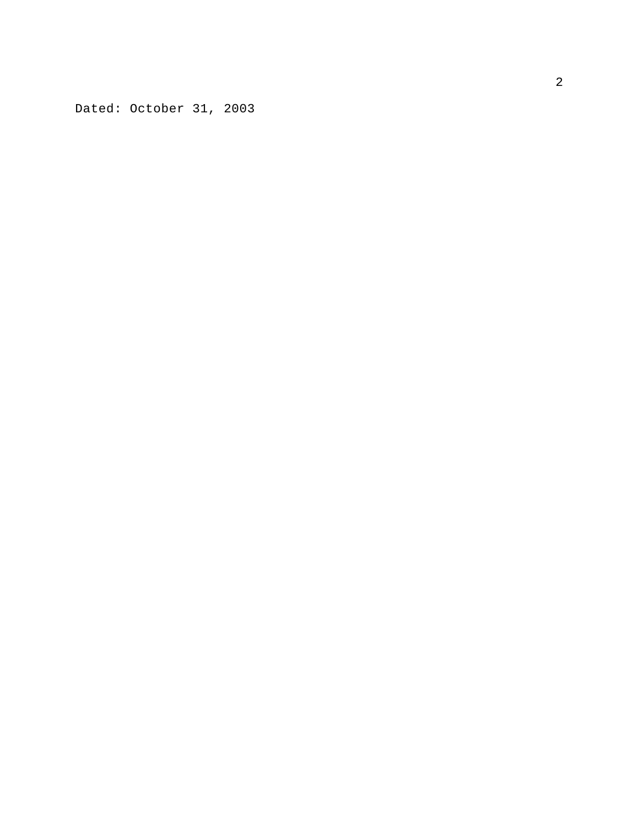Dated: October 31, 2003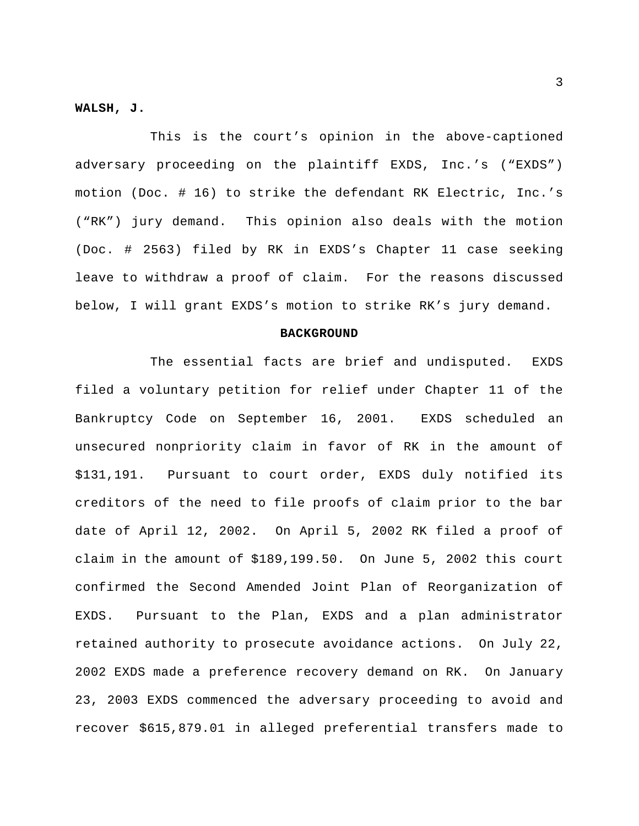### **WALSH, J.**

This is the court's opinion in the above-captioned adversary proceeding on the plaintiff EXDS, Inc.'s ("EXDS") motion (Doc. # 16) to strike the defendant RK Electric, Inc.'s ("RK") jury demand. This opinion also deals with the motion (Doc. # 2563) filed by RK in EXDS's Chapter 11 case seeking leave to withdraw a proof of claim. For the reasons discussed below, I will grant EXDS's motion to strike RK's jury demand.

### **BACKGROUND**

The essential facts are brief and undisputed. EXDS filed a voluntary petition for relief under Chapter 11 of the Bankruptcy Code on September 16, 2001. EXDS scheduled an unsecured nonpriority claim in favor of RK in the amount of \$131,191. Pursuant to court order, EXDS duly notified its creditors of the need to file proofs of claim prior to the bar date of April 12, 2002. On April 5, 2002 RK filed a proof of claim in the amount of \$189,199.50. On June 5, 2002 this court confirmed the Second Amended Joint Plan of Reorganization of EXDS. Pursuant to the Plan, EXDS and a plan administrator retained authority to prosecute avoidance actions. On July 22, 2002 EXDS made a preference recovery demand on RK. On January 23, 2003 EXDS commenced the adversary proceeding to avoid and recover \$615,879.01 in alleged preferential transfers made to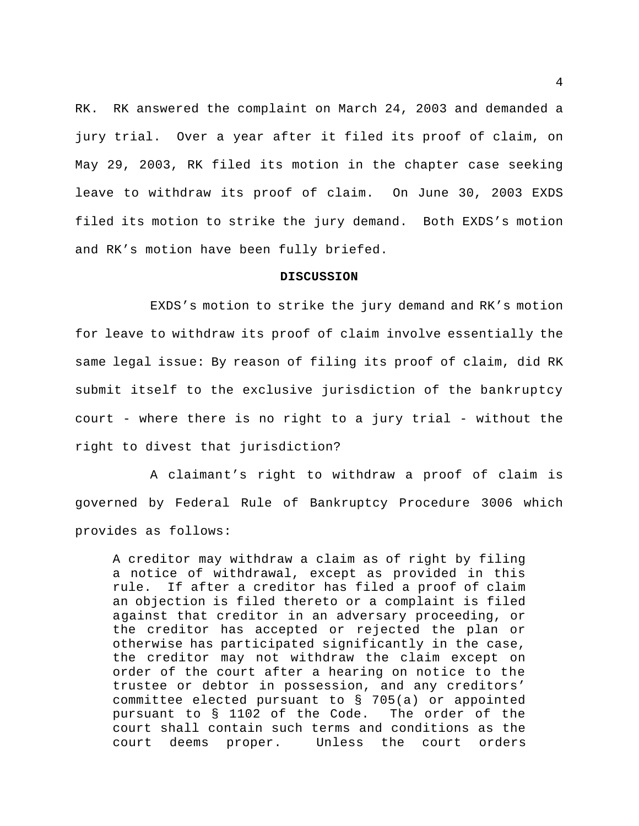RK. RK answered the complaint on March 24, 2003 and demanded a jury trial. Over a year after it filed its proof of claim, on May 29, 2003, RK filed its motion in the chapter case seeking leave to withdraw its proof of claim. On June 30, 2003 EXDS filed its motion to strike the jury demand. Both EXDS's motion and RK's motion have been fully briefed.

### **DISCUSSION**

EXDS's motion to strike the jury demand and RK's motion for leave to withdraw its proof of claim involve essentially the same legal issue: By reason of filing its proof of claim, did RK submit itself to the exclusive jurisdiction of the bankruptcy court - where there is no right to a jury trial - without the right to divest that jurisdiction?

A claimant's right to withdraw a proof of claim is governed by Federal Rule of Bankruptcy Procedure 3006 which provides as follows:

A creditor may withdraw a claim as of right by filing a notice of withdrawal, except as provided in this rule. If after a creditor has filed a proof of claim an objection is filed thereto or a complaint is filed against that creditor in an adversary proceeding, or the creditor has accepted or rejected the plan or otherwise has participated significantly in the case, the creditor may not withdraw the claim except on order of the court after a hearing on notice to the trustee or debtor in possession, and any creditors' committee elected pursuant to § 705(a) or appointed pursuant to § 1102 of the Code. The order of the court shall contain such terms and conditions as the court deems proper. Unless the court orders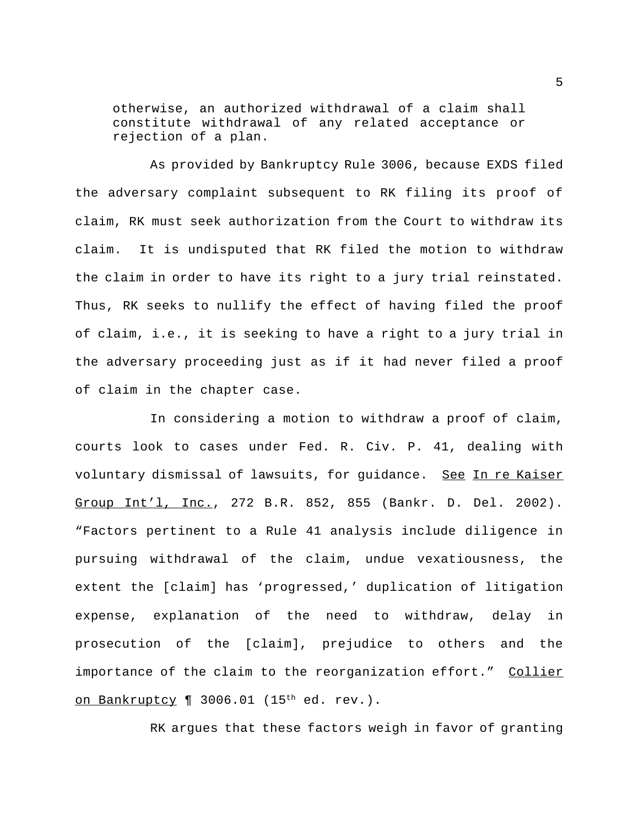otherwise, an authorized withdrawal of a claim shall constitute withdrawal of any related acceptance or rejection of a plan.

As provided by Bankruptcy Rule 3006, because EXDS filed the adversary complaint subsequent to RK filing its proof of claim, RK must seek authorization from the Court to withdraw its claim. It is undisputed that RK filed the motion to withdraw the claim in order to have its right to a jury trial reinstated. Thus, RK seeks to nullify the effect of having filed the proof of claim, i.e., it is seeking to have a right to a jury trial in the adversary proceeding just as if it had never filed a proof of claim in the chapter case.

In considering a motion to withdraw a proof of claim, courts look to cases under Fed. R. Civ. P. 41, dealing with voluntary dismissal of lawsuits, for guidance. See In re Kaiser Group Int'l, Inc., 272 B.R. 852, 855 (Bankr. D. Del. 2002). "Factors pertinent to a Rule 41 analysis include diligence in pursuing withdrawal of the claim, undue vexatiousness, the extent the [claim] has 'progressed,' duplication of litigation expense, explanation of the need to withdraw, delay in prosecution of the [claim], prejudice to others and the importance of the claim to the reorganization effort." Collier on Bankruptcy ¶ 3006.01 (15th ed. rev.).

RK argues that these factors weigh in favor of granting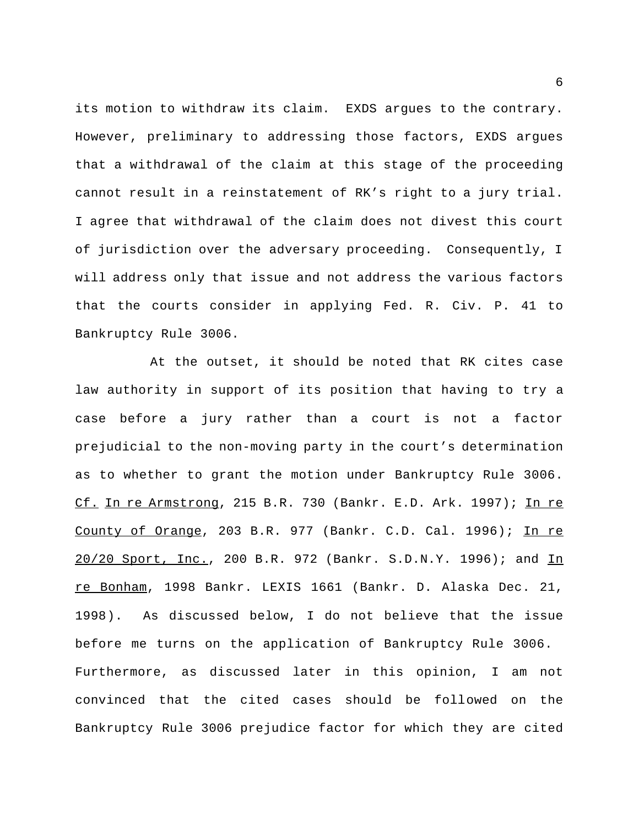its motion to withdraw its claim. EXDS argues to the contrary. However, preliminary to addressing those factors, EXDS argues that a withdrawal of the claim at this stage of the proceeding cannot result in a reinstatement of RK's right to a jury trial. I agree that withdrawal of the claim does not divest this court of jurisdiction over the adversary proceeding. Consequently, I will address only that issue and not address the various factors that the courts consider in applying Fed. R. Civ. P. 41 to Bankruptcy Rule 3006.

At the outset, it should be noted that RK cites case law authority in support of its position that having to try a case before a jury rather than a court is not a factor prejudicial to the non-moving party in the court's determination as to whether to grant the motion under Bankruptcy Rule 3006. Cf. In re Armstrong, 215 B.R. 730 (Bankr. E.D. Ark. 1997); In re County of Orange, 203 B.R. 977 (Bankr. C.D. Cal. 1996); In re 20/20 Sport, Inc., 200 B.R. 972 (Bankr. S.D.N.Y. 1996); and In re Bonham, 1998 Bankr. LEXIS 1661 (Bankr. D. Alaska Dec. 21, 1998). As discussed below, I do not believe that the issue before me turns on the application of Bankruptcy Rule 3006. Furthermore, as discussed later in this opinion, I am not convinced that the cited cases should be followed on the Bankruptcy Rule 3006 prejudice factor for which they are cited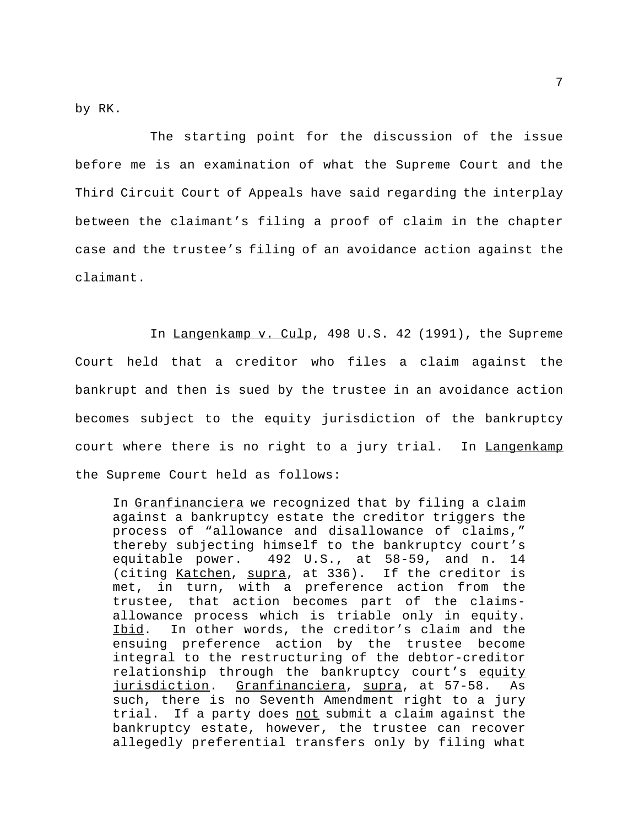by RK.

The starting point for the discussion of the issue before me is an examination of what the Supreme Court and the Third Circuit Court of Appeals have said regarding the interplay between the claimant's filing a proof of claim in the chapter case and the trustee's filing of an avoidance action against the claimant.

In Langenkamp v. Culp, 498 U.S. 42 (1991), the Supreme Court held that a creditor who files a claim against the bankrupt and then is sued by the trustee in an avoidance action becomes subject to the equity jurisdiction of the bankruptcy court where there is no right to a jury trial. In Langenkamp the Supreme Court held as follows:

In Granfinanciera we recognized that by filing a claim against a bankruptcy estate the creditor triggers the process of "allowance and disallowance of claims," thereby subjecting himself to the bankruptcy court's equitable power. 492 U.S., at 58-59, and n. 14 (citing Katchen, supra, at 336). If the creditor is met, in turn, with a preference action from the trustee, that action becomes part of the claimsallowance process which is triable only in equity. Ibid. In other words, the creditor's claim and the ensuing preference action by the trustee become integral to the restructuring of the debtor-creditor relationship through the bankruptcy court's equity jurisdiction. Granfinanciera, supra, at 57-58. As such, there is no Seventh Amendment right to a jury trial. If a party does not submit a claim against the bankruptcy estate, however, the trustee can recover allegedly preferential transfers only by filing what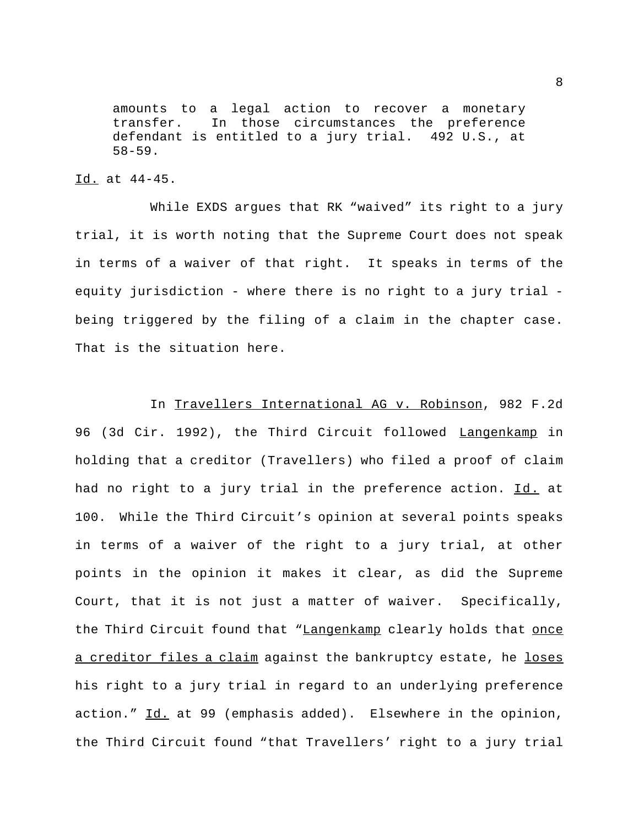amounts to a legal action to recover a monetary transfer. In those circumstances the preference defendant is entitled to a jury trial. 492 U.S., at 58-59.

## Id. at 44-45.

While EXDS argues that RK "waived" its right to a jury trial, it is worth noting that the Supreme Court does not speak in terms of a waiver of that right. It speaks in terms of the equity jurisdiction - where there is no right to a jury trial being triggered by the filing of a claim in the chapter case. That is the situation here.

In Travellers International AG v. Robinson, 982 F.2d 96 (3d Cir. 1992), the Third Circuit followed Langenkamp in holding that a creditor (Travellers) who filed a proof of claim had no right to a jury trial in the preference action. Id. at 100. While the Third Circuit's opinion at several points speaks in terms of a waiver of the right to a jury trial, at other points in the opinion it makes it clear, as did the Supreme Court, that it is not just a matter of waiver. Specifically, the Third Circuit found that "Langenkamp clearly holds that once a creditor files a claim against the bankruptcy estate, he loses his right to a jury trial in regard to an underlying preference action." Id. at 99 (emphasis added). Elsewhere in the opinion, the Third Circuit found "that Travellers' right to a jury trial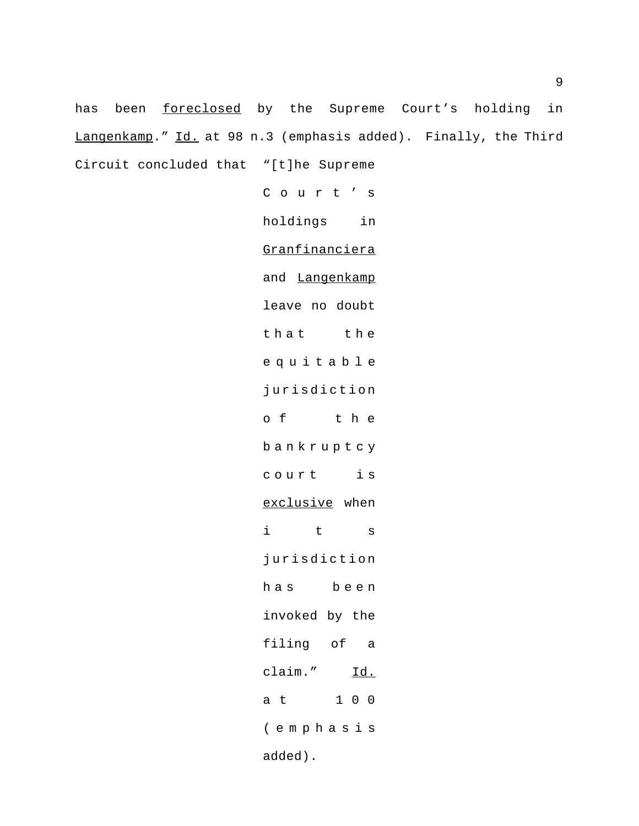has been foreclosed by the Supreme Court's holding in Langenkamp." Id. at 98 n.3 (emphasis added). Finally, the Third Circuit concluded that "[t]he Supreme

> Court's holdings in Granfinanciera and Langenkamp leave no doubt that the equitable jurisdiction of the bankruptcy court is exclusive when i t s jurisdiction has been invoked by the filing of a claim." Id. at 100 (emphasis added).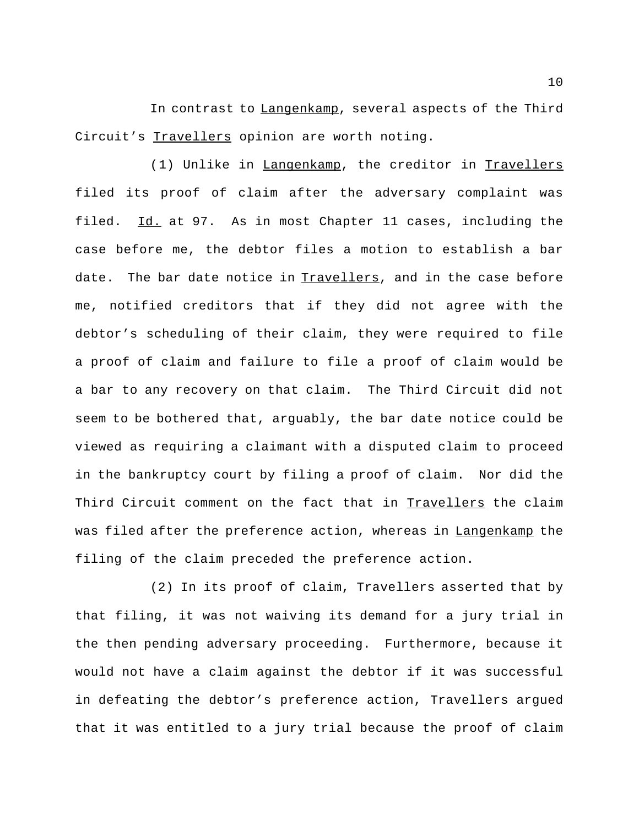In contrast to Langenkamp, several aspects of the Third Circuit's Travellers opinion are worth noting.

(1) Unlike in Langenkamp, the creditor in Travellers filed its proof of claim after the adversary complaint was filed. Id. at 97. As in most Chapter 11 cases, including the case before me, the debtor files a motion to establish a bar date. The bar date notice in Travellers, and in the case before me, notified creditors that if they did not agree with the debtor's scheduling of their claim, they were required to file a proof of claim and failure to file a proof of claim would be a bar to any recovery on that claim. The Third Circuit did not seem to be bothered that, arguably, the bar date notice could be viewed as requiring a claimant with a disputed claim to proceed in the bankruptcy court by filing a proof of claim. Nor did the Third Circuit comment on the fact that in Travellers the claim was filed after the preference action, whereas in Langenkamp the filing of the claim preceded the preference action.

(2) In its proof of claim, Travellers asserted that by that filing, it was not waiving its demand for a jury trial in the then pending adversary proceeding. Furthermore, because it would not have a claim against the debtor if it was successful in defeating the debtor's preference action, Travellers argued that it was entitled to a jury trial because the proof of claim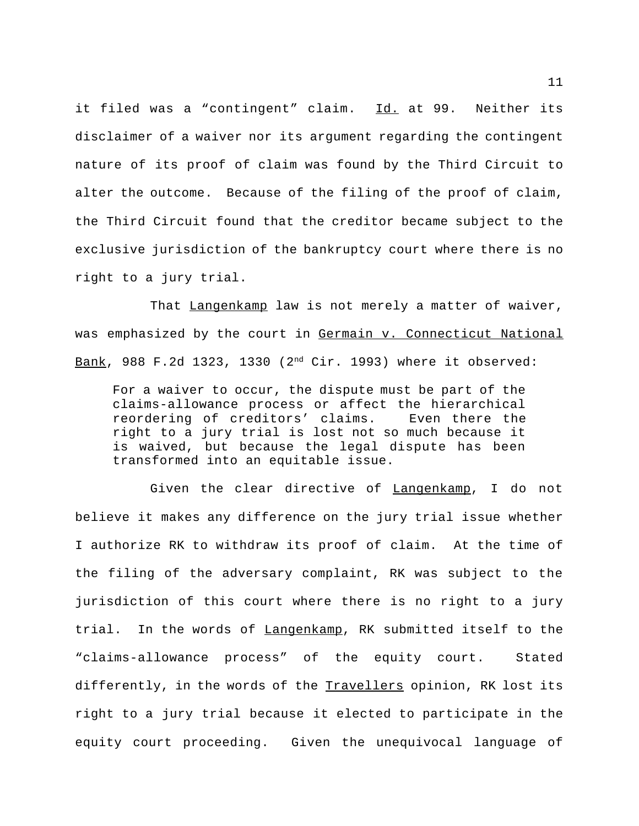it filed was a "contingent" claim. Id. at 99. Neither its disclaimer of a waiver nor its argument regarding the contingent nature of its proof of claim was found by the Third Circuit to alter the outcome. Because of the filing of the proof of claim, the Third Circuit found that the creditor became subject to the exclusive jurisdiction of the bankruptcy court where there is no right to a jury trial.

That Langenkamp law is not merely a matter of waiver, was emphasized by the court in Germain v. Connecticut National Bank, 988 F.2d 1323, 1330 (2nd Cir. 1993) where it observed:

For a waiver to occur, the dispute must be part of the claims-allowance process or affect the hierarchical reordering of creditors' claims. Even there the right to a jury trial is lost not so much because it is waived, but because the legal dispute has been transformed into an equitable issue.

Given the clear directive of Langenkamp, I do not believe it makes any difference on the jury trial issue whether I authorize RK to withdraw its proof of claim. At the time of the filing of the adversary complaint, RK was subject to the jurisdiction of this court where there is no right to a jury trial. In the words of Langenkamp, RK submitted itself to the "claims-allowance process" of the equity court. Stated differently, in the words of the Travellers opinion, RK lost its right to a jury trial because it elected to participate in the equity court proceeding. Given the unequivocal language of

11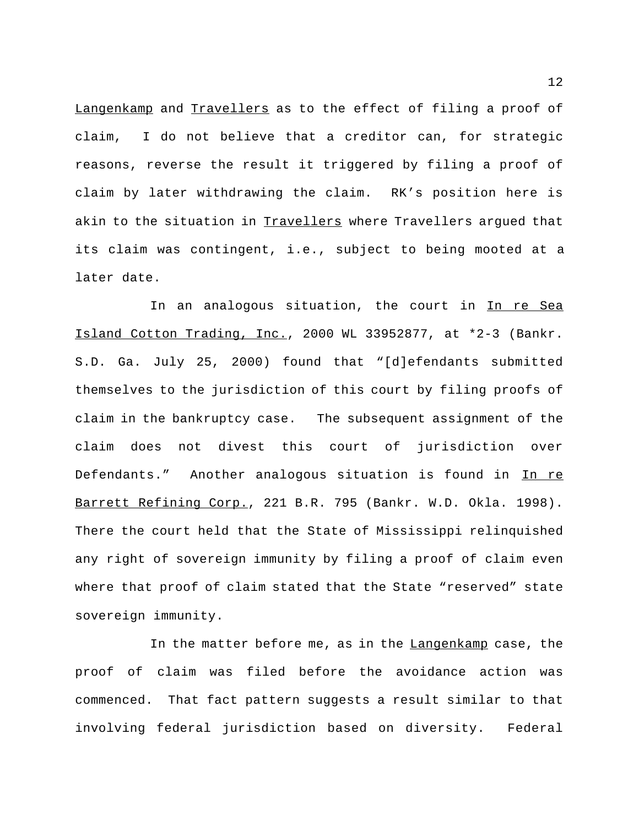Langenkamp and Travellers as to the effect of filing a proof of claim, I do not believe that a creditor can, for strategic reasons, reverse the result it triggered by filing a proof of claim by later withdrawing the claim. RK's position here is akin to the situation in Travellers where Travellers argued that its claim was contingent, i.e., subject to being mooted at a later date.

In an analogous situation, the court in In re Sea Island Cotton Trading, Inc., 2000 WL 33952877, at \*2-3 (Bankr. S.D. Ga. July 25, 2000) found that "[d]efendants submitted themselves to the jurisdiction of this court by filing proofs of claim in the bankruptcy case. The subsequent assignment of the claim does not divest this court of jurisdiction over Defendants." Another analogous situation is found in In re Barrett Refining Corp., 221 B.R. 795 (Bankr. W.D. Okla. 1998). There the court held that the State of Mississippi relinquished any right of sovereign immunity by filing a proof of claim even where that proof of claim stated that the State "reserved" state sovereign immunity.

In the matter before me, as in the Langenkamp case, the proof of claim was filed before the avoidance action was commenced. That fact pattern suggests a result similar to that involving federal jurisdiction based on diversity. Federal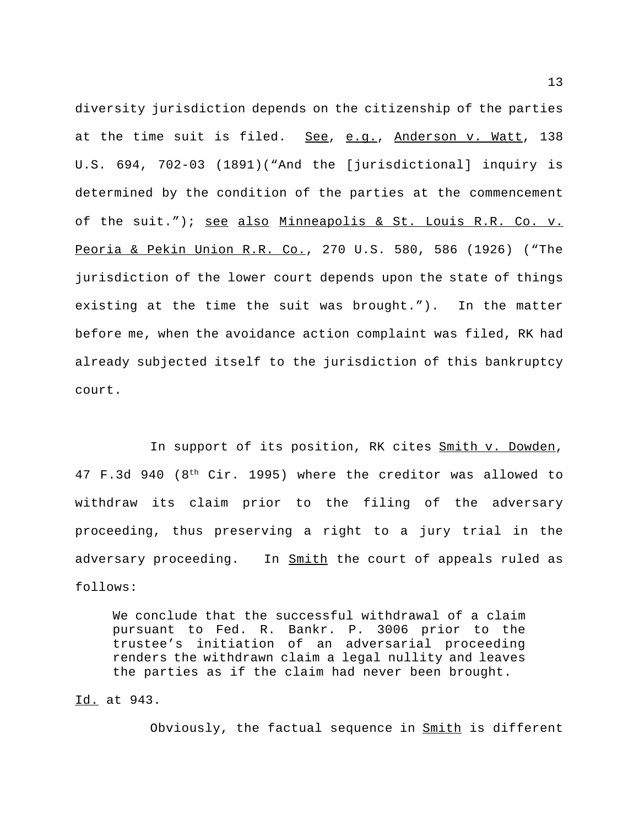diversity jurisdiction depends on the citizenship of the parties at the time suit is filed. See, e.g., Anderson v. Watt, 138 U.S. 694, 702-03 (1891)("And the [jurisdictional] inquiry is determined by the condition of the parties at the commencement of the suit."); see also Minneapolis & St. Louis R.R. Co. v. Peoria & Pekin Union R.R. Co., 270 U.S. 580, 586 (1926) ("The jurisdiction of the lower court depends upon the state of things existing at the time the suit was brought."). In the matter before me, when the avoidance action complaint was filed, RK had already subjected itself to the jurisdiction of this bankruptcy court.

In support of its position, RK cites Smith v. Dowden, 47 F.3d 940 (8th Cir. 1995) where the creditor was allowed to withdraw its claim prior to the filing of the adversary proceeding, thus preserving a right to a jury trial in the adversary proceeding. In Smith the court of appeals ruled as follows:

We conclude that the successful withdrawal of a claim pursuant to Fed. R. Bankr. P. 3006 prior to the trustee's initiation of an adversarial proceeding renders the withdrawn claim a legal nullity and leaves the parties as if the claim had never been brought.

Id. at 943.

Obviously, the factual sequence in **Smith** is different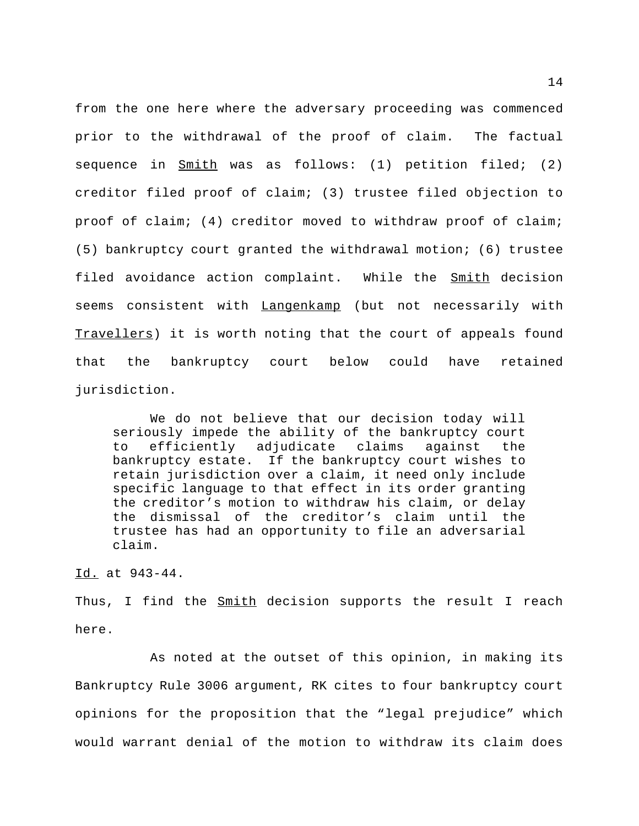from the one here where the adversary proceeding was commenced prior to the withdrawal of the proof of claim. The factual sequence in  $Smith$  was as follows: (1) petition filed; (2) creditor filed proof of claim; (3) trustee filed objection to proof of claim; (4) creditor moved to withdraw proof of claim; (5) bankruptcy court granted the withdrawal motion; (6) trustee filed avoidance action complaint. While the Smith decision seems consistent with Langenkamp (but not necessarily with Travellers) it is worth noting that the court of appeals found that the bankruptcy court below could have retained jurisdiction.

We do not believe that our decision today will seriously impede the ability of the bankruptcy court to efficiently adjudicate claims against the bankruptcy estate. If the bankruptcy court wishes to retain jurisdiction over a claim, it need only include specific language to that effect in its order granting the creditor's motion to withdraw his claim, or delay the dismissal of the creditor's claim until the trustee has had an opportunity to file an adversarial claim.

Id. at 943-44.

Thus, I find the **Smith** decision supports the result I reach here.

As noted at the outset of this opinion, in making its Bankruptcy Rule 3006 argument, RK cites to four bankruptcy court opinions for the proposition that the "legal prejudice" which would warrant denial of the motion to withdraw its claim does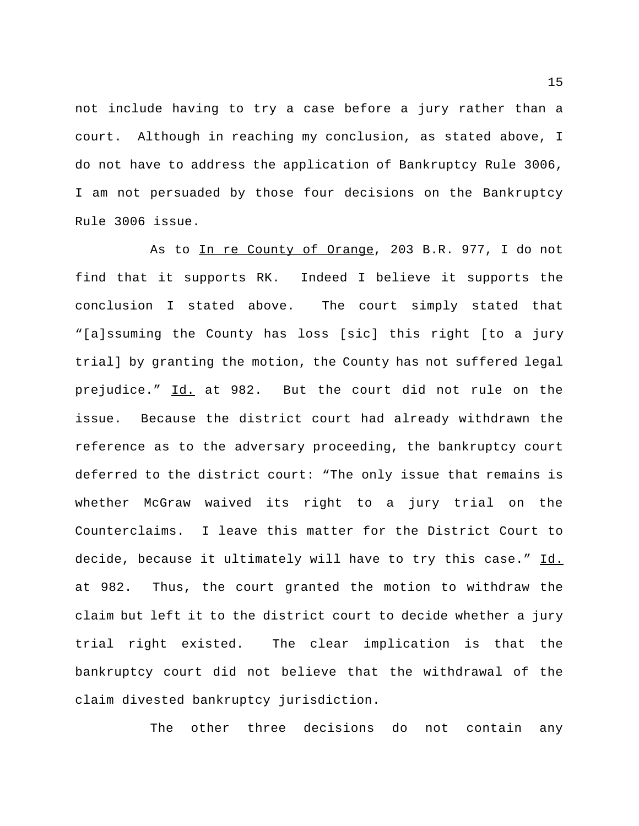not include having to try a case before a jury rather than a court. Although in reaching my conclusion, as stated above, I do not have to address the application of Bankruptcy Rule 3006, I am not persuaded by those four decisions on the Bankruptcy Rule 3006 issue.

As to In re County of Orange, 203 B.R. 977, I do not find that it supports RK. Indeed I believe it supports the conclusion I stated above. The court simply stated that "[a]ssuming the County has loss [sic] this right [to a jury trial] by granting the motion, the County has not suffered legal prejudice." Id. at 982. But the court did not rule on the issue. Because the district court had already withdrawn the reference as to the adversary proceeding, the bankruptcy court deferred to the district court: "The only issue that remains is whether McGraw waived its right to a jury trial on the Counterclaims. I leave this matter for the District Court to decide, because it ultimately will have to try this case." Id. at 982. Thus, the court granted the motion to withdraw the claim but left it to the district court to decide whether a jury trial right existed. The clear implication is that the bankruptcy court did not believe that the withdrawal of the claim divested bankruptcy jurisdiction.

The other three decisions do not contain any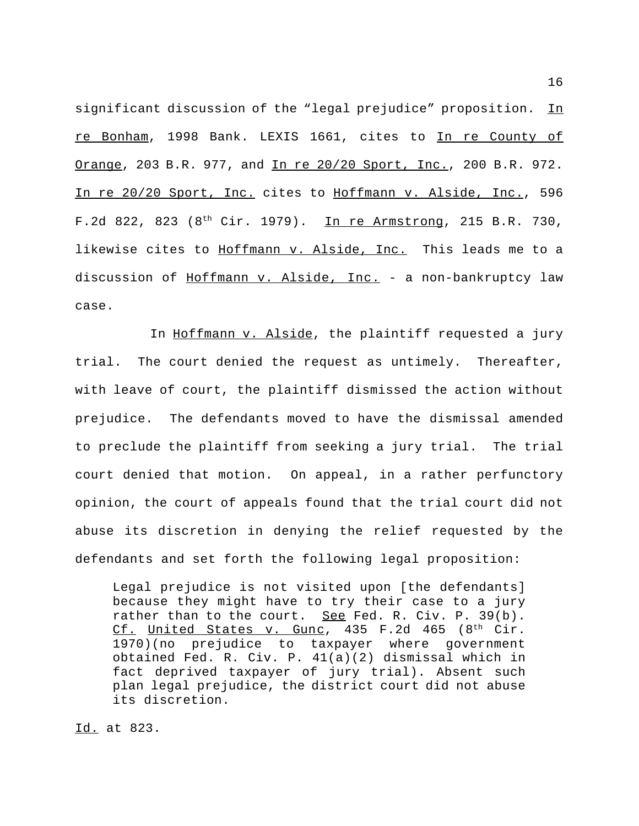significant discussion of the "legal prejudice" proposition. In re Bonham, 1998 Bank. LEXIS 1661, cites to In re County of Orange, 203 B.R. 977, and In re 20/20 Sport, Inc., 200 B.R. 972. In re 20/20 Sport, Inc. cites to Hoffmann v. Alside, Inc., 596 F.2d 822, 823 (8<sup>th</sup> Cir. 1979). In re Armstrong, 215 B.R. 730, likewise cites to Hoffmann v. Alside, Inc. This leads me to a discussion of Hoffmann v. Alside, Inc. - a non-bankruptcy law case.

In Hoffmann v. Alside, the plaintiff requested a jury trial. The court denied the request as untimely. Thereafter, with leave of court, the plaintiff dismissed the action without prejudice. The defendants moved to have the dismissal amended to preclude the plaintiff from seeking a jury trial. The trial court denied that motion. On appeal, in a rather perfunctory opinion, the court of appeals found that the trial court did not abuse its discretion in denying the relief requested by the defendants and set forth the following legal proposition:

Legal prejudice is not visited upon [the defendants] because they might have to try their case to a jury rather than to the court. See Fed. R. Civ. P. 39 $(b)$ .  $Cf.$  United States v. Gunc, 435 F.2d 465 (8<sup>th</sup> Cir. 1970)(no prejudice to taxpayer where government obtained Fed. R. Civ. P. 41(a)(2) dismissal which in fact deprived taxpayer of jury trial). Absent such plan legal prejudice, the district court did not abuse its discretion.

Id. at 823.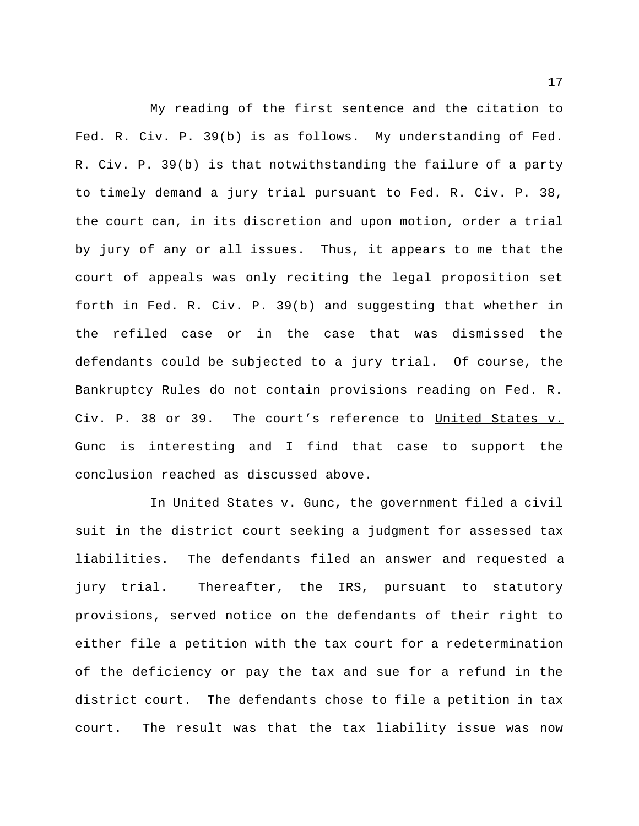My reading of the first sentence and the citation to Fed. R. Civ. P. 39(b) is as follows. My understanding of Fed. R. Civ. P. 39(b) is that notwithstanding the failure of a party to timely demand a jury trial pursuant to Fed. R. Civ. P. 38, the court can, in its discretion and upon motion, order a trial by jury of any or all issues. Thus, it appears to me that the court of appeals was only reciting the legal proposition set forth in Fed. R. Civ. P. 39(b) and suggesting that whether in the refiled case or in the case that was dismissed the defendants could be subjected to a jury trial. Of course, the Bankruptcy Rules do not contain provisions reading on Fed. R. Civ. P. 38 or 39. The court's reference to United States v. Gunc is interesting and I find that case to support the conclusion reached as discussed above.

In United States v. Gunc, the government filed a civil suit in the district court seeking a judgment for assessed tax liabilities. The defendants filed an answer and requested a jury trial. Thereafter, the IRS, pursuant to statutory provisions, served notice on the defendants of their right to either file a petition with the tax court for a redetermination of the deficiency or pay the tax and sue for a refund in the district court. The defendants chose to file a petition in tax court. The result was that the tax liability issue was now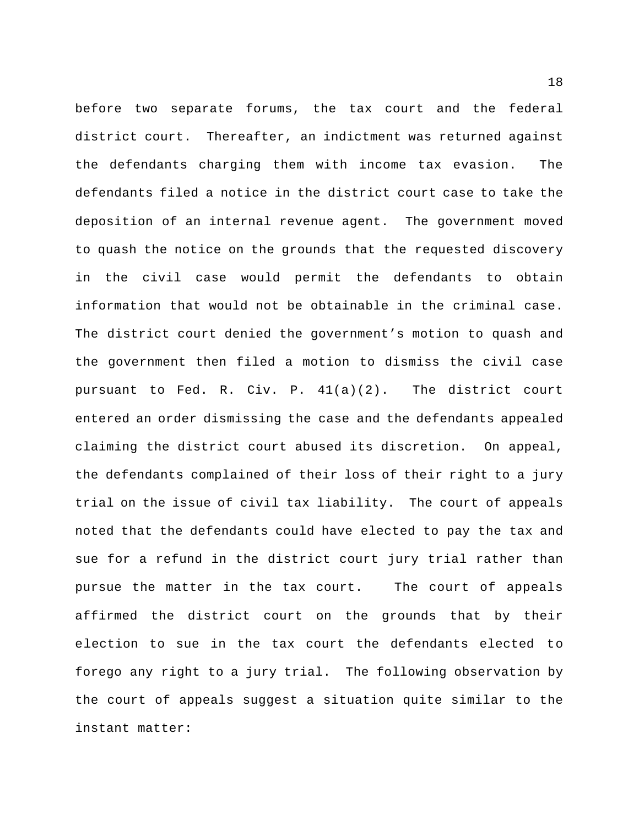before two separate forums, the tax court and the federal district court. Thereafter, an indictment was returned against the defendants charging them with income tax evasion. The defendants filed a notice in the district court case to take the deposition of an internal revenue agent. The government moved to quash the notice on the grounds that the requested discovery in the civil case would permit the defendants to obtain information that would not be obtainable in the criminal case. The district court denied the government's motion to quash and the government then filed a motion to dismiss the civil case pursuant to Fed. R. Civ. P. 41(a)(2). The district court entered an order dismissing the case and the defendants appealed claiming the district court abused its discretion. On appeal, the defendants complained of their loss of their right to a jury trial on the issue of civil tax liability. The court of appeals noted that the defendants could have elected to pay the tax and sue for a refund in the district court jury trial rather than pursue the matter in the tax court. The court of appeals affirmed the district court on the grounds that by their election to sue in the tax court the defendants elected to forego any right to a jury trial. The following observation by the court of appeals suggest a situation quite similar to the instant matter: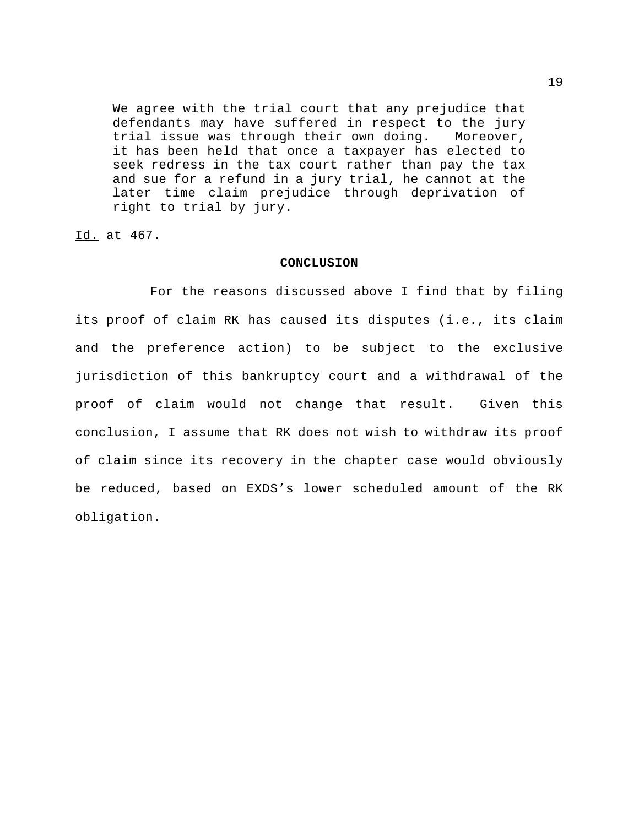We agree with the trial court that any prejudice that defendants may have suffered in respect to the jury trial issue was through their own doing. Moreover, it has been held that once a taxpayer has elected to seek redress in the tax court rather than pay the tax and sue for a refund in a jury trial, he cannot at the later time claim prejudice through deprivation of right to trial by jury.

Id. at 467.

#### **CONCLUSION**

For the reasons discussed above I find that by filing its proof of claim RK has caused its disputes (i.e., its claim and the preference action) to be subject to the exclusive jurisdiction of this bankruptcy court and a withdrawal of the proof of claim would not change that result. Given this conclusion, I assume that RK does not wish to withdraw its proof of claim since its recovery in the chapter case would obviously be reduced, based on EXDS's lower scheduled amount of the RK obligation.